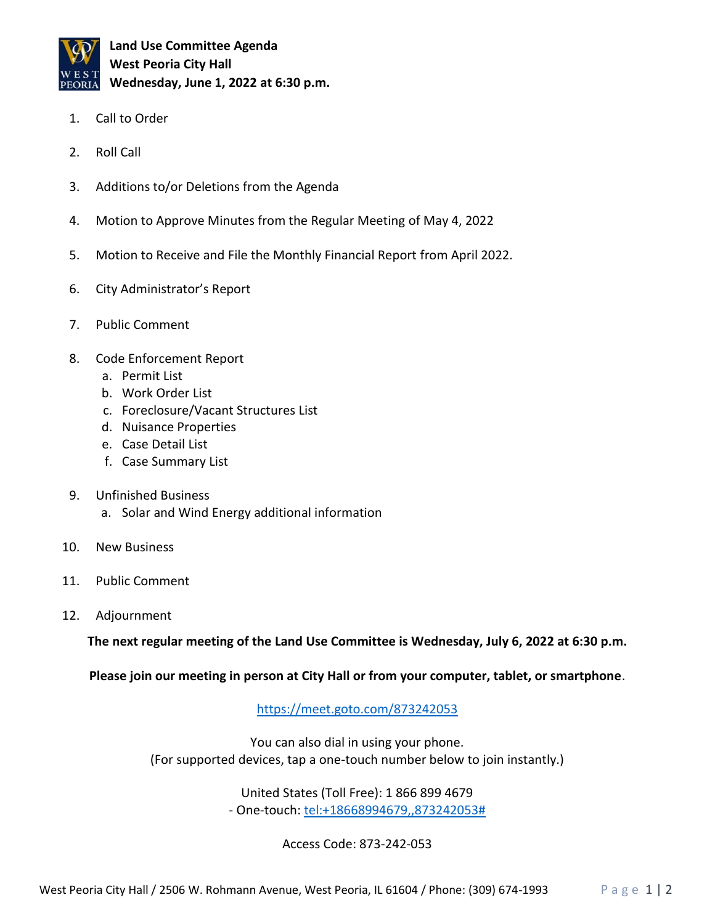

**Land Use Committee Agenda West Peoria City Hall Wednesday, June 1, 2022 at 6:30 p.m.**

- 1. Call to Order
- 2. Roll Call
- 3. Additions to/or Deletions from the Agenda
- 4. Motion to Approve Minutes from the Regular Meeting of May 4, 2022
- 5. Motion to Receive and File the Monthly Financial Report from April 2022.
- 6. City Administrator's Report
- 7. Public Comment
- 8. Code Enforcement Report
	- a. Permit List
	- b. Work Order List
	- c. Foreclosure/Vacant Structures List
	- d. Nuisance Properties
	- e. Case Detail List
	- f. Case Summary List
- 9. Unfinished Business
	- a. Solar and Wind Energy additional information
- 10. New Business
- 11. Public Comment
- 12. Adjournment

**The next regular meeting of the Land Use Committee is Wednesday, July 6, 2022 at 6:30 p.m.**

**Please join our meeting in person at City Hall or from your computer, tablet, or smartphone**.

<https://meet.goto.com/873242053>

You can also dial in using your phone. (For supported devices, tap a one-touch number below to join instantly.)

> United States (Toll Free): 1 866 899 4679 - One-touch: [tel:+18668994679,,873242053#](tel:+18668994679,,873242053)

> > Access Code: 873-242-053